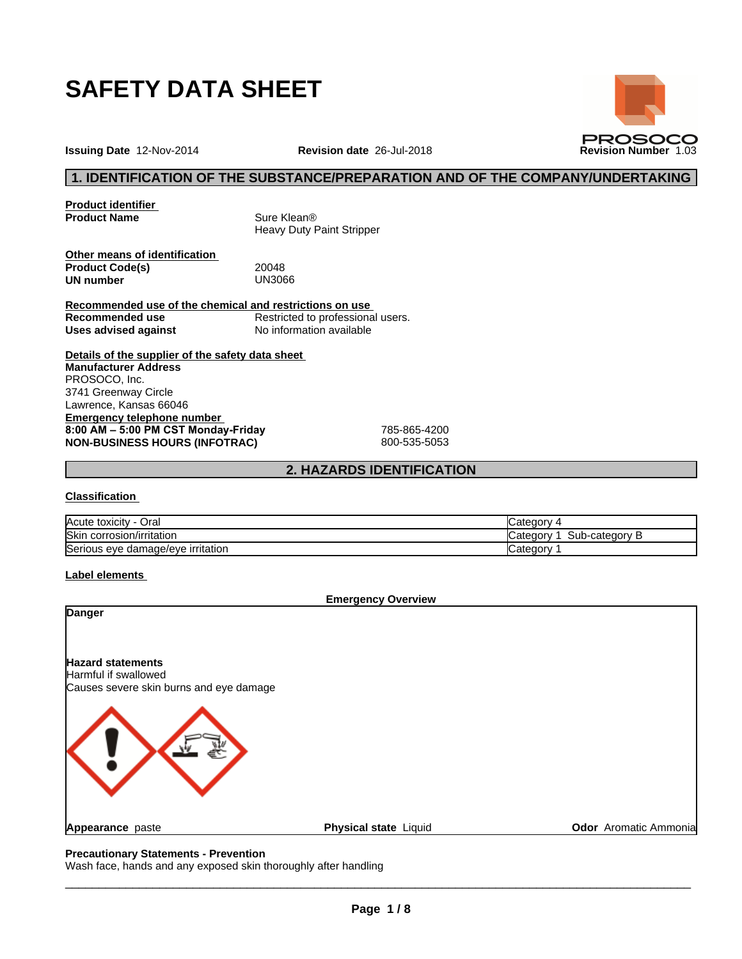# **SAFETY DATA SHEET**

**PROSOCO** 

**Issuing Date** 12-Nov-2014 **Revision date** 26-Jul-2018 **Revision Number** 1.03

# **1. IDENTIFICATION OF THE SUBSTANCE/PREPARATION AND OF THE COMPANY/UNDERTAKING**

**Product identifier Product Name** Sure Klean®

Heavy Duty Paint Stripper

| 20048  |  |
|--------|--|
| UN3066 |  |
|        |  |

**Recommended use of the chemical and restrictions on use Recommended use** Restricted to professional users.<br>
Uses advised against<br>
No information available **Uses** advised against

**Details of the supplier of the safety data sheet Emergency telephone number 8:00 AM – 5:00 PM CST Monday-Friday 785-865-4200<br>
<b>NON-BUSINESS HOURS (INFOTRAC)** 800-535-5053 **NON-BUSINESS HOURS (INFOTRAC) Manufacturer Address** PROSOCO, Inc. 3741 Greenway Circle Lawrence, Kansas 66046

**2. HAZARDS IDENTIFICATION**

# **Classification**

| -<br><b>Acute</b><br>Oral<br>toxicity  | Categor                         |
|----------------------------------------|---------------------------------|
| <b>Skir</b><br>corrosion/irritation    | 'ategorب ت<br>.o-categor<br>sub |
| Serious<br>s eye damage/eye irritation | 'ategorٽ                        |

# **Label elements**



# **Precautionary Statements - Prevention**

Wash face, hands and any exposed skin thoroughly after handling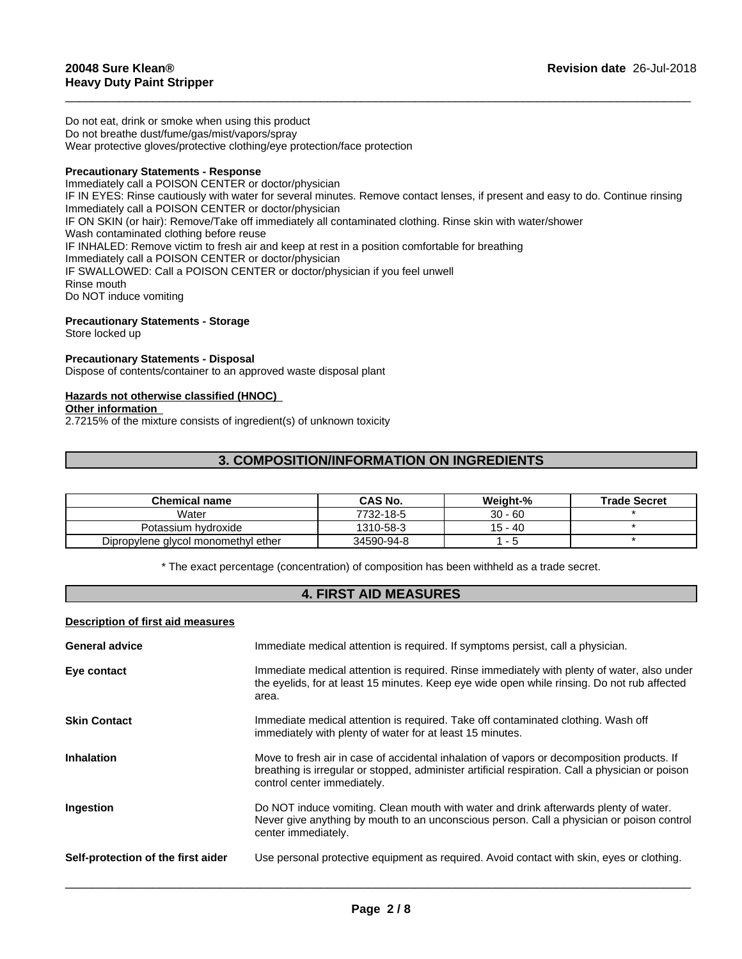Do not eat, drink or smoke when using this product Do not breathe dust/fume/gas/mist/vapors/spray Wear protective gloves/protective clothing/eye protection/face protection

# **Precautionary Statements - Response**

Immediately call a POISON CENTER or doctor/physician IF IN EYES: Rinse cautiously with water for several minutes. Remove contact lenses, if present and easy to do. Continue rinsing Immediately call a POISON CENTER or doctor/physician IF ON SKIN (or hair): Remove/Take off immediately all contaminated clothing. Rinse skin with water/shower Wash contaminated clothing before reuse IF INHALED: Remove victim to fresh air and keep at rest in a position comfortable for breathing Immediately call a POISON CENTER or doctor/physician IF SWALLOWED: Call a POISON CENTER or doctor/physician if you feel unwell Rinse mouth Do NOT induce vomiting

 $\overline{\phantom{a}}$  ,  $\overline{\phantom{a}}$  ,  $\overline{\phantom{a}}$  ,  $\overline{\phantom{a}}$  ,  $\overline{\phantom{a}}$  ,  $\overline{\phantom{a}}$  ,  $\overline{\phantom{a}}$  ,  $\overline{\phantom{a}}$  ,  $\overline{\phantom{a}}$  ,  $\overline{\phantom{a}}$  ,  $\overline{\phantom{a}}$  ,  $\overline{\phantom{a}}$  ,  $\overline{\phantom{a}}$  ,  $\overline{\phantom{a}}$  ,  $\overline{\phantom{a}}$  ,  $\overline{\phantom{a}}$ 

# **Precautionary Statements - Storage**

Store locked up

# **Precautionary Statements - Disposal**

Dispose of contents/container to an approved waste disposal plant

# **Hazards not otherwise classified (HNOC)**

#### **Other information**

2.7215% of the mixture consists of ingredient(s) of unknown toxicity

# **3. COMPOSITION/INFORMATION ON INGREDIENTS**

| Chemical name                       | <b>CAS No.</b> | Weight-%  | <b>Trade Secret</b> |
|-------------------------------------|----------------|-----------|---------------------|
| Water                               | 7732-18-5      | $30 - 60$ |                     |
| Potassium hvdroxide                 | 1310-58-3      | 15 - 40   |                     |
| Dipropylene glycol monomethyl ether | 34590-94-8     |           |                     |

\* The exact percentage (concentration) of composition has been withheld as a trade secret.

# **4. FIRST AID MEASURES**

# **Description of first aid measures**

| Immediate medical attention is required. If symptoms persist, call a physician.                                                                                                                                               |
|-------------------------------------------------------------------------------------------------------------------------------------------------------------------------------------------------------------------------------|
| Immediate medical attention is required. Rinse immediately with plenty of water, also under<br>the eyelids, for at least 15 minutes. Keep eye wide open while rinsing. Do not rub affected<br>area.                           |
| Immediate medical attention is required. Take off contaminated clothing. Wash off<br>immediately with plenty of water for at least 15 minutes.                                                                                |
| Move to fresh air in case of accidental inhalation of vapors or decomposition products. If<br>breathing is irregular or stopped, administer artificial respiration. Call a physician or poison<br>control center immediately. |
| Do NOT induce vomiting. Clean mouth with water and drink afterwards plenty of water.<br>Never give anything by mouth to an unconscious person. Call a physician or poison control<br>center immediately.                      |
| Use personal protective equipment as required. Avoid contact with skin, eyes or clothing.                                                                                                                                     |
|                                                                                                                                                                                                                               |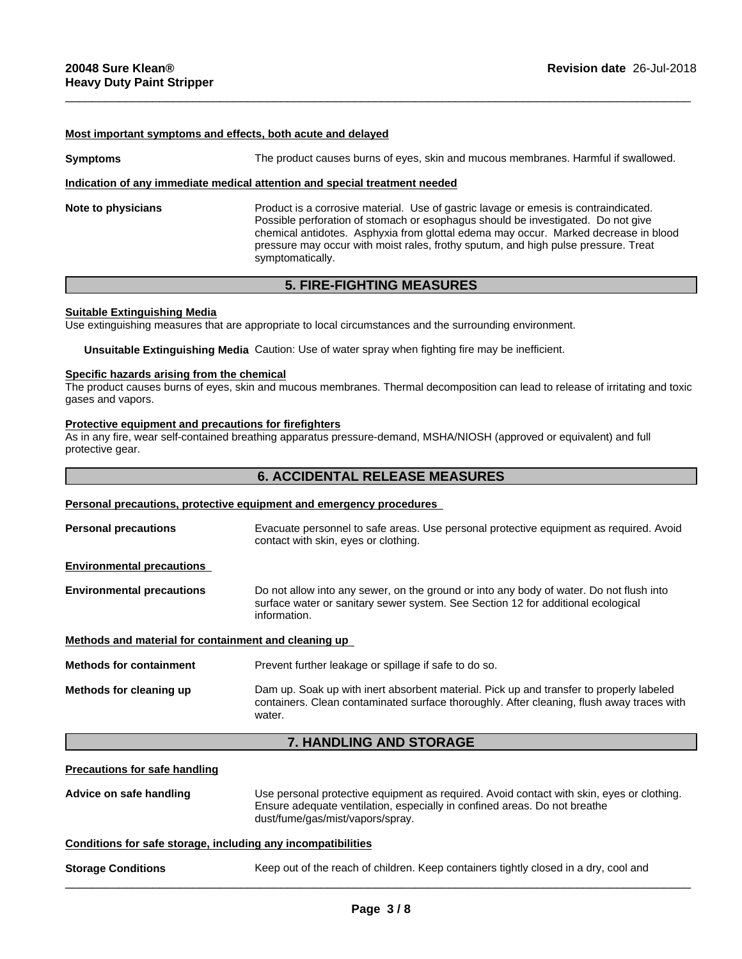# **Most important symptoms and effects, both acute and delayed**

**Symptoms** The product causes burns of eyes, skin and mucous membranes. Harmful if swallowed. **Indication of any immediate medical attention and special treatment needed Note to physicians** Product is a corrosive material. Use of gastric lavage or emesis is contraindicated. Possible perforation of stomach or esophagus should be investigated. Do not give chemical antidotes. Asphyxia from glottal edema may occur. Marked decrease in blood pressure may occur with moist rales, frothy sputum, and high pulse pressure. Treat

 $\overline{\phantom{a}}$  ,  $\overline{\phantom{a}}$  ,  $\overline{\phantom{a}}$  ,  $\overline{\phantom{a}}$  ,  $\overline{\phantom{a}}$  ,  $\overline{\phantom{a}}$  ,  $\overline{\phantom{a}}$  ,  $\overline{\phantom{a}}$  ,  $\overline{\phantom{a}}$  ,  $\overline{\phantom{a}}$  ,  $\overline{\phantom{a}}$  ,  $\overline{\phantom{a}}$  ,  $\overline{\phantom{a}}$  ,  $\overline{\phantom{a}}$  ,  $\overline{\phantom{a}}$  ,  $\overline{\phantom{a}}$ 

# **5. FIRE-FIGHTING MEASURES**

# **Suitable Extinguishing Media**

Use extinguishing measures that are appropriate to local circumstances and the surrounding environment.

symptomatically.

**Unsuitable Extinguishing Media** Caution: Use of water spray when fighting fire may be inefficient.

#### **Specific hazards arising from the chemical**

The product causes burns of eyes, skin and mucous membranes. Thermal decomposition can lead to release of irritating and toxic gases and vapors.

#### **Protective equipment and precautions for firefighters**

As in any fire, wear self-contained breathing apparatus pressure-demand, MSHA/NIOSH (approved or equivalent) and full protective gear.

# **6. ACCIDENTAL RELEASE MEASURES**

#### **Personal precautions, protective equipment and emergency procedures**

**Personal precautions** Evacuate personnel to safe areas. Use personal protective equipment as required. Avoid contact with skin, eyes or clothing.

#### **Environmental precautions**

**Environmental precautions** Do not allow into any sewer, on the ground or into any body of water. Do not flush into surface water or sanitary sewer system. See Section 12 for additional ecological information.

#### **Methods and material for containment and cleaning up**

| Prevent further leakage or spillage if safe to do so.<br><b>Methods for containment</b> |                                                                                                                                                                                                |
|-----------------------------------------------------------------------------------------|------------------------------------------------------------------------------------------------------------------------------------------------------------------------------------------------|
| Methods for cleaning up                                                                 | Dam up. Soak up with inert absorbent material. Pick up and transfer to properly labeled<br>containers. Clean contaminated surface thoroughly. After cleaning, flush away traces with<br>water. |

# **7. HANDLING AND STORAGE**

**Precautions for safe handling**

**Advice on safe handling** Use personal protective equipment as required.Avoid contact with skin, eyes or clothing. Ensure adequate ventilation, especially in confined areas. Do not breathe dust/fume/gas/mist/vapors/spray.

 $\overline{\phantom{a}}$  ,  $\overline{\phantom{a}}$  ,  $\overline{\phantom{a}}$  ,  $\overline{\phantom{a}}$  ,  $\overline{\phantom{a}}$  ,  $\overline{\phantom{a}}$  ,  $\overline{\phantom{a}}$  ,  $\overline{\phantom{a}}$  ,  $\overline{\phantom{a}}$  ,  $\overline{\phantom{a}}$  ,  $\overline{\phantom{a}}$  ,  $\overline{\phantom{a}}$  ,  $\overline{\phantom{a}}$  ,  $\overline{\phantom{a}}$  ,  $\overline{\phantom{a}}$  ,  $\overline{\phantom{a}}$ 

#### **Conditions for safe storage, including any incompatibilities**

**Storage Conditions** Keep out of the reach of children. Keep containers tightly closed in a dry, cool and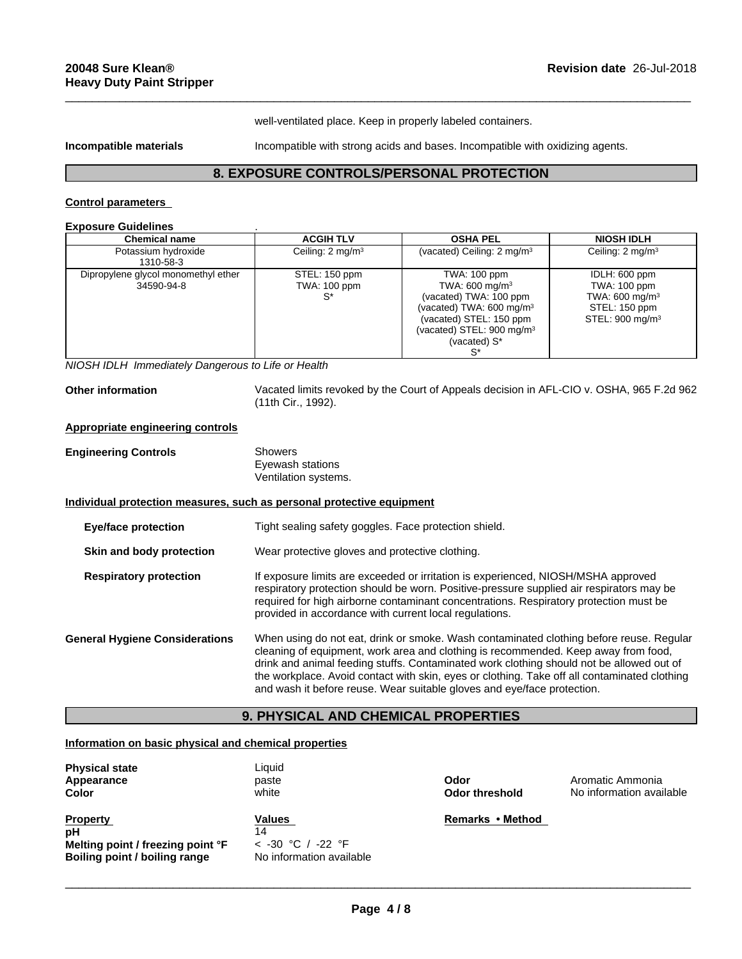well-ventilated place. Keep in properly labeled containers.

**Incompatible materials** Incompatible with strong acids and bases. Incompatible with oxidizing agents.

 $\overline{\phantom{a}}$  ,  $\overline{\phantom{a}}$  ,  $\overline{\phantom{a}}$  ,  $\overline{\phantom{a}}$  ,  $\overline{\phantom{a}}$  ,  $\overline{\phantom{a}}$  ,  $\overline{\phantom{a}}$  ,  $\overline{\phantom{a}}$  ,  $\overline{\phantom{a}}$  ,  $\overline{\phantom{a}}$  ,  $\overline{\phantom{a}}$  ,  $\overline{\phantom{a}}$  ,  $\overline{\phantom{a}}$  ,  $\overline{\phantom{a}}$  ,  $\overline{\phantom{a}}$  ,  $\overline{\phantom{a}}$ 

# **8. EXPOSURE CONTROLS/PERSONAL PROTECTION**

# **Control parameters**

| <b>Chemical name</b>                              | <b>ACGIH TLV</b>                       | <b>OSHA PEL</b>                                                                                                                                                                                | <b>NIOSH IDLH</b>                                                                                          |
|---------------------------------------------------|----------------------------------------|------------------------------------------------------------------------------------------------------------------------------------------------------------------------------------------------|------------------------------------------------------------------------------------------------------------|
| Potassium hydroxide<br>1310-58-3                  | Ceiling: $2 \text{ mg/m}^3$            | (vacated) Ceiling: 2 mg/m <sup>3</sup>                                                                                                                                                         | Ceiling: 2 mg/m <sup>3</sup>                                                                               |
| Dipropylene glycol monomethyl ether<br>34590-94-8 | STEL: 150 ppm<br>TWA: 100 ppm<br>$S^*$ | TWA: 100 ppm<br>TWA: 600 mg/m <sup>3</sup><br>(vacated) TWA: 100 ppm<br>(vacated) TWA: $600 \text{ mg/m}^3$<br>(vacated) STEL: 150 ppm<br>(vacated) STEL: $900 \text{ mg/m}^3$<br>(vacated) S* | IDLH: 600 ppm<br>TWA: 100 ppm<br>TWA: $600 \text{ mg/m}^3$<br>STEL: 150 ppm<br>STEL: 900 mg/m <sup>3</sup> |

*NIOSH IDLH Immediately Dangerous to Life or Health*

**Other information** Vacated limits revoked by the Court of Appeals decision in AFL-CIO v.OSHA, 965 F.2d 962 (11th Cir., 1992).

# **Appropriate engineering controls**

| <b>Engineering Controls</b> | Showers              |
|-----------------------------|----------------------|
|                             | Eyewash stations     |
|                             | Ventilation systems. |

#### **Individual protection measures, such as personal protective equipment**

| <b>Eye/face protection</b><br>Skin and body protection |                                       | Tight sealing safety goggles. Face protection shield.                                                                                                                                                                                                                                                                                                                                                                                                |  |  |
|--------------------------------------------------------|---------------------------------------|------------------------------------------------------------------------------------------------------------------------------------------------------------------------------------------------------------------------------------------------------------------------------------------------------------------------------------------------------------------------------------------------------------------------------------------------------|--|--|
|                                                        |                                       | Wear protective gloves and protective clothing.                                                                                                                                                                                                                                                                                                                                                                                                      |  |  |
|                                                        | <b>Respiratory protection</b>         | If exposure limits are exceeded or irritation is experienced, NIOSH/MSHA approved<br>respiratory protection should be worn. Positive-pressure supplied air respirators may be<br>required for high airborne contaminant concentrations. Respiratory protection must be<br>provided in accordance with current local regulations.                                                                                                                     |  |  |
|                                                        | <b>General Hygiene Considerations</b> | When using do not eat, drink or smoke. Wash contaminated clothing before reuse. Regular<br>cleaning of equipment, work area and clothing is recommended. Keep away from food,<br>drink and animal feeding stuffs. Contaminated work clothing should not be allowed out of<br>the workplace. Avoid contact with skin, eyes or clothing. Take off all contaminated clothing<br>and wash it before reuse. Wear suitable gloves and eye/face protection. |  |  |

# **9. PHYSICAL AND CHEMICAL PROPERTIES**

# **Information on basic physical and chemical properties**

| <b>Physical state</b><br>Appearance<br>Color | Liquid<br>paste<br>white | Odor<br><b>Odor threshold</b> | Aromatic Ammonia<br>No information available |
|----------------------------------------------|--------------------------|-------------------------------|----------------------------------------------|
|                                              |                          |                               |                                              |
| <b>Property</b>                              | Values                   | Remarks • Method              |                                              |
| pН                                           | 14                       |                               |                                              |
| Melting point / freezing point °F            | < -30 ℃ / -22 °F         |                               |                                              |
| Boiling point / boiling range                | No information available |                               |                                              |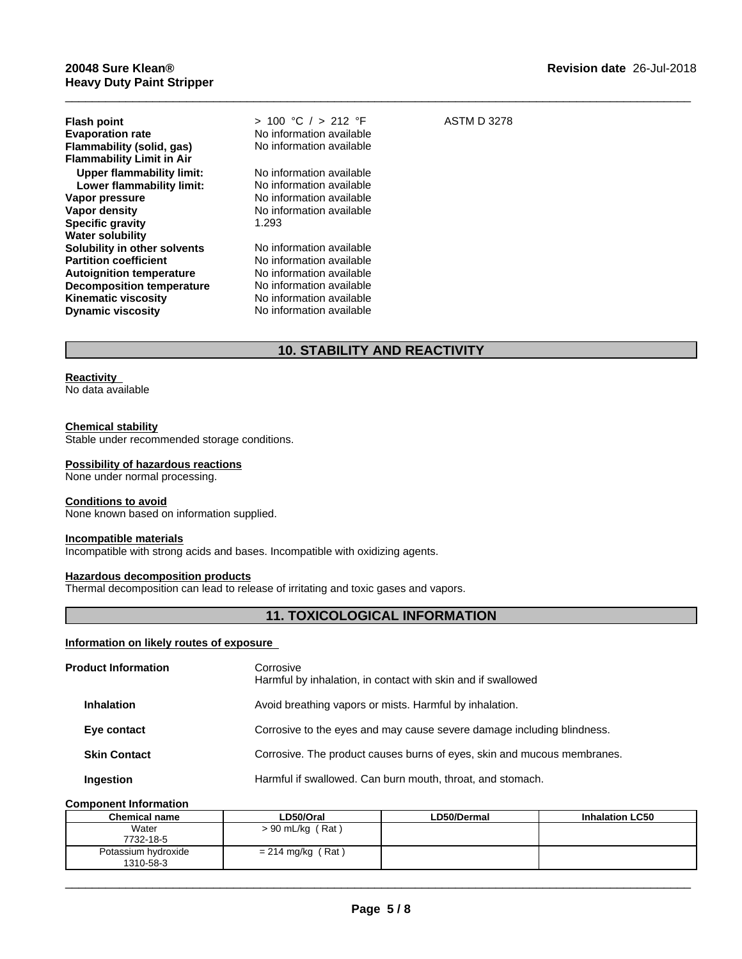| <b>Flash point</b><br><b>Evaporation rate</b><br>Flammability (solid, gas)<br><b>Flammability Limit in Air</b> | > 100 °C / > 212 °F<br>No information available<br>No information available | <b>ASTM D 3278</b> |
|----------------------------------------------------------------------------------------------------------------|-----------------------------------------------------------------------------|--------------------|
| Upper flammability limit:                                                                                      | No information available                                                    |                    |
| Lower flammability limit:                                                                                      | No information available                                                    |                    |
| Vapor pressure                                                                                                 | No information available                                                    |                    |
| Vapor density                                                                                                  | No information available                                                    |                    |
| <b>Specific gravity</b>                                                                                        | 1.293                                                                       |                    |
| <b>Water solubility</b>                                                                                        |                                                                             |                    |
| Solubility in other solvents                                                                                   | No information available                                                    |                    |
| <b>Partition coefficient</b>                                                                                   | No information available                                                    |                    |
| <b>Autoignition temperature</b>                                                                                | No information available                                                    |                    |
| <b>Decomposition temperature</b>                                                                               | No information available                                                    |                    |
| <b>Kinematic viscosity</b>                                                                                     | No information available                                                    |                    |
| <b>Dynamic viscosity</b>                                                                                       | No information available                                                    |                    |

# **10. STABILITY AND REACTIVITY**

 $\overline{\phantom{a}}$  ,  $\overline{\phantom{a}}$  ,  $\overline{\phantom{a}}$  ,  $\overline{\phantom{a}}$  ,  $\overline{\phantom{a}}$  ,  $\overline{\phantom{a}}$  ,  $\overline{\phantom{a}}$  ,  $\overline{\phantom{a}}$  ,  $\overline{\phantom{a}}$  ,  $\overline{\phantom{a}}$  ,  $\overline{\phantom{a}}$  ,  $\overline{\phantom{a}}$  ,  $\overline{\phantom{a}}$  ,  $\overline{\phantom{a}}$  ,  $\overline{\phantom{a}}$  ,  $\overline{\phantom{a}}$ 

# **Reactivity**

No data available

# **Chemical stability**

Stable under recommended storage conditions.

# **Possibility of hazardous reactions**

None under normal processing.

#### **Conditions to avoid**

None known based on information supplied.

# **Incompatible materials**

Incompatible with strong acids and bases. Incompatible with oxidizing agents.

#### **Hazardous decomposition products**

Thermal decomposition can lead to release of irritating and toxic gases and vapors.

# **11. TOXICOLOGICAL INFORMATION**

# **Information on likely routes of exposure**

| <b>Product Information</b> | Corrosive<br>Harmful by inhalation, in contact with skin and if swallowed |
|----------------------------|---------------------------------------------------------------------------|
| <b>Inhalation</b>          | Avoid breathing vapors or mists. Harmful by inhalation.                   |
| Eye contact                | Corrosive to the eyes and may cause severe damage including blindness.    |
| <b>Skin Contact</b>        | Corrosive. The product causes burns of eyes, skin and mucous membranes.   |
| Ingestion                  | Harmful if swallowed. Can burn mouth, throat, and stomach.                |

# **Component Information**

| <b>Chemical name</b> | LD50/Oral           | LD50/Dermal | <b>Inhalation LC50</b> |
|----------------------|---------------------|-------------|------------------------|
| Water                | > 90 mL/kg (Rat)    |             |                        |
| 7732-18-5            |                     |             |                        |
| Potassium hydroxide  | $= 214$ mg/kg (Rat) |             |                        |
| 1310-58-3            |                     |             |                        |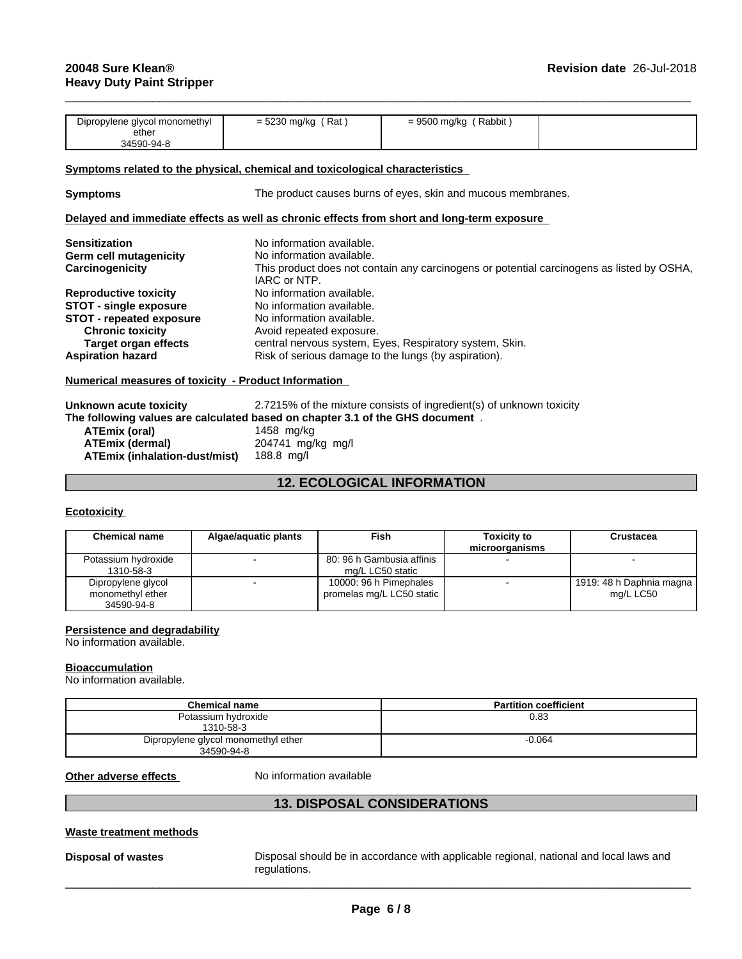| Dipropylene glycol monomethyl<br>ether                                                     | $= 5230$ mg/kg (Rat)                                                                                      | $= 9500$ mg/kg (Rabbit)                                      |  |  |
|--------------------------------------------------------------------------------------------|-----------------------------------------------------------------------------------------------------------|--------------------------------------------------------------|--|--|
| 34590-94-8                                                                                 |                                                                                                           |                                                              |  |  |
| Symptoms related to the physical, chemical and toxicological characteristics               |                                                                                                           |                                                              |  |  |
|                                                                                            |                                                                                                           |                                                              |  |  |
| <b>Symptoms</b>                                                                            |                                                                                                           | The product causes burns of eyes, skin and mucous membranes. |  |  |
|                                                                                            |                                                                                                           |                                                              |  |  |
| Delayed and immediate effects as well as chronic effects from short and long-term exposure |                                                                                                           |                                                              |  |  |
| <b>Sensitization</b>                                                                       | No information available.                                                                                 |                                                              |  |  |
| Germ cell mutagenicity                                                                     | No information available.                                                                                 |                                                              |  |  |
| Carcinogenicity                                                                            | This product does not contain any carcinogens or potential carcinogens as listed by OSHA,<br>IARC or NTP. |                                                              |  |  |
| <b>Reproductive toxicity</b>                                                               | No information available.                                                                                 |                                                              |  |  |
| <b>STOT - single exposure</b>                                                              | No information available.                                                                                 |                                                              |  |  |
| <b>STOT - repeated exposure</b>                                                            | No information available.                                                                                 |                                                              |  |  |
| <b>Chronic toxicity</b>                                                                    | Avoid repeated exposure.                                                                                  |                                                              |  |  |
| Target organ effects                                                                       | central nervous system, Eyes, Respiratory system, Skin.                                                   |                                                              |  |  |
| <b>Aspiration hazard</b>                                                                   | Risk of serious damage to the lungs (by aspiration).                                                      |                                                              |  |  |
| Numerical measures of toxicity - Product Information                                       |                                                                                                           |                                                              |  |  |
| Unknown acute toxicity                                                                     | 2.7215% of the mixture consists of ingredient(s) of unknown toxicity                                      |                                                              |  |  |
| The following values are calculated based on chapter 3.1 of the GHS document.              |                                                                                                           |                                                              |  |  |

 $\overline{\phantom{a}}$  ,  $\overline{\phantom{a}}$  ,  $\overline{\phantom{a}}$  ,  $\overline{\phantom{a}}$  ,  $\overline{\phantom{a}}$  ,  $\overline{\phantom{a}}$  ,  $\overline{\phantom{a}}$  ,  $\overline{\phantom{a}}$  ,  $\overline{\phantom{a}}$  ,  $\overline{\phantom{a}}$  ,  $\overline{\phantom{a}}$  ,  $\overline{\phantom{a}}$  ,  $\overline{\phantom{a}}$  ,  $\overline{\phantom{a}}$  ,  $\overline{\phantom{a}}$  ,  $\overline{\phantom{a}}$ 

|                               | $\,$ rollowing values are calculated based on chapter 3.1 of the GHS doc |
|-------------------------------|--------------------------------------------------------------------------|
| ATEmix (oral)                 | 1458 ma/ka                                                               |
| ATEmix (dermal)               | 204741 mg/kg mg/l                                                        |
| ATEmix (inhalation-dust/mist) | 188.8 ma/l                                                               |

# **12. ECOLOGICAL INFORMATION**

# **Ecotoxicity**

| <b>Chemical name</b>                                 | Algae/aquatic plants | Fish                                                | <b>Toxicity to</b><br>microorganisms | Crustacea                               |
|------------------------------------------------------|----------------------|-----------------------------------------------------|--------------------------------------|-----------------------------------------|
| Potassium hydroxide<br>1310-58-3                     |                      | 80: 96 h Gambusia affinis<br>mg/L LC50 static       |                                      |                                         |
| Dipropylene glycol<br>monomethyl ether<br>34590-94-8 |                      | 10000: 96 h Pimephales<br>promelas mg/L LC50 static |                                      | 1919: 48 h Daphnia magna  <br>mg/L LC50 |

# **Persistence and degradability**

No information available.

# **Bioaccumulation**

No information available.

| <b>Chemical name</b>                | <b>Partition coefficient</b> |
|-------------------------------------|------------------------------|
| Potassium hydroxide                 | 0.83                         |
| 1310-58-3                           |                              |
| Dipropylene glycol monomethyl ether | $-0.064$                     |
| 34590-94-8                          |                              |

**Other adverse effects** No information available

# **13. DISPOSAL CONSIDERATIONS**

# **Waste treatment methods**

**Disposal of wastes** Disposal should be in accordance with applicable regional, national and local laws and regulations.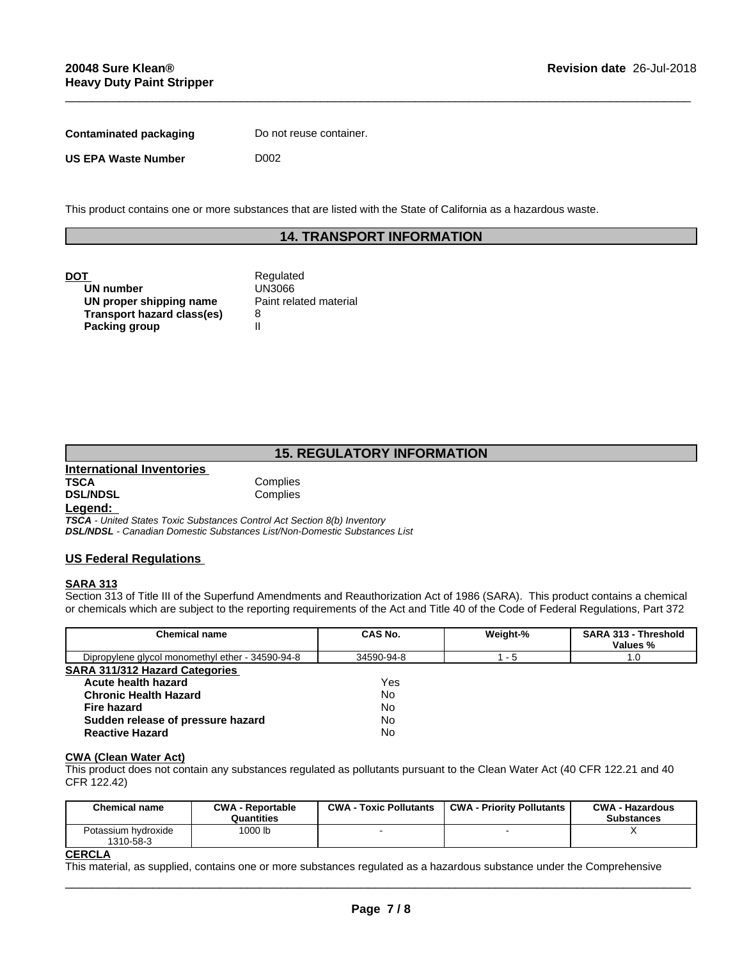| <b>Contaminated packaging</b> | Do not reuse container. |
|-------------------------------|-------------------------|
| <b>US EPA Waste Number</b>    | D002                    |

This product contains one or more substances that are listed with the State of California as a hazardous waste.

# **14. TRANSPORT INFORMATION**

 $\overline{\phantom{a}}$  ,  $\overline{\phantom{a}}$  ,  $\overline{\phantom{a}}$  ,  $\overline{\phantom{a}}$  ,  $\overline{\phantom{a}}$  ,  $\overline{\phantom{a}}$  ,  $\overline{\phantom{a}}$  ,  $\overline{\phantom{a}}$  ,  $\overline{\phantom{a}}$  ,  $\overline{\phantom{a}}$  ,  $\overline{\phantom{a}}$  ,  $\overline{\phantom{a}}$  ,  $\overline{\phantom{a}}$  ,  $\overline{\phantom{a}}$  ,  $\overline{\phantom{a}}$  ,  $\overline{\phantom{a}}$ 

**DOT**<br> **DOT**<br> **CON DUN DUN DUN DUN 2006 UN number**<br>
UN proper shipping name<br>
UN proper shipping name<br>
Paint related material **UN** proper shipping name **Transport hazard class(es)** 8 **Packing group** 

# **15. REGULATORY INFORMATION**

#### **International Inventories TSCA** Complies **DSL/NDSL** Complies **Legend:**

*TSCA - United States Toxic Substances Control Act Section 8(b) Inventory DSL/NDSL - Canadian Domestic Substances List/Non-Domestic Substances List*

# **US Federal Regulations**

# **SARA 313**

Section 313 of Title III of the Superfund Amendments and Reauthorization Act of 1986 (SARA). This product contains a chemical or chemicals which are subject to the reporting requirements of the Act and Title 40 of the Code of Federal Regulations, Part 372

| <b>CAS No.</b><br>Weight-%<br><b>Chemical name</b>                    | <b>SARA 313 - Threshold</b><br>Values % |
|-----------------------------------------------------------------------|-----------------------------------------|
| Dipropylene glycol monomethyl ether - 34590-94-8<br>34590-94-8<br>- 5 | 1.0                                     |
| <b>SARA 311/312 Hazard Categories</b>                                 |                                         |
| Yes<br>Acute health hazard                                            |                                         |
| <b>Chronic Health Hazard</b><br>No                                    |                                         |
| No<br><b>Fire hazard</b>                                              |                                         |
| No<br>Sudden release of pressure hazard                               |                                         |
| No<br><b>Reactive Hazard</b>                                          |                                         |

# **CWA** (Clean Water Act)

This product does not contain any substances regulated as pollutants pursuant to the Clean Water Act (40 CFR 122.21 and 40 CFR 122.42)

| <b>Chemical name</b>             | <b>CWA - Reportable</b><br>Quantities | <b>CWA - Toxic Pollutants</b> | <b>CWA - Priority Pollutants</b> | <b>CWA - Hazardous</b><br><b>Substances</b> |
|----------------------------------|---------------------------------------|-------------------------------|----------------------------------|---------------------------------------------|
| Potassium hydroxide<br>1310-58-3 | 1000 lb                               |                               |                                  |                                             |

# **CERCLA**

This material, as supplied, contains one or more substances regulated as a hazardous substance under the Comprehensive